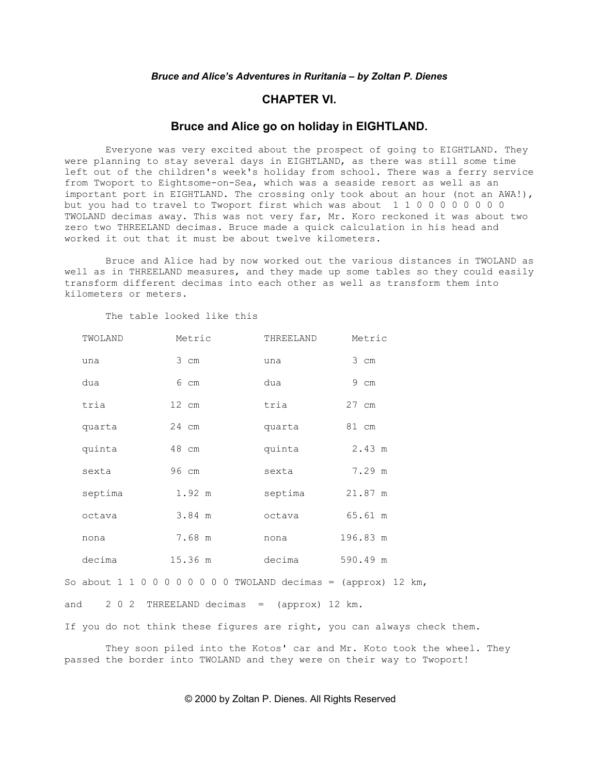## **CHAPTER VI.**

## **Bruce and Alice go on holiday in EIGHTLAND.**

 Everyone was very excited about the prospect of going to EIGHTLAND. They were planning to stay several days in EIGHTLAND, as there was still some time left out of the children's week's holiday from school. There was a ferry service from Twoport to Eightsome-on-Sea, which was a seaside resort as well as an important port in EIGHTLAND. The crossing only took about an hour (not an AWA!), but you had to travel to Twoport first which was about 1 1 0 0 0 0 0 0 0 0 TWOLAND decimas away. This was not very far, Mr. Koro reckoned it was about two zero two THREELAND decimas. Bruce made a quick calculation in his head and worked it out that it must be about twelve kilometers.

 Bruce and Alice had by now worked out the various distances in TWOLAND as well as in THREELAND measures, and they made up some tables so they could easily transform different decimas into each other as well as transform them into kilometers or meters.

| TWOLAND | Metric          | THREELAND | Metric          |
|---------|-----------------|-----------|-----------------|
| una     | 3 cm            | una       | 3 cm            |
| dua     | 6 cm            | dua       | 9 cm            |
| tria    | $12 \text{ cm}$ | tria      | $27 \text{ cm}$ |
| quarta  | $24$ cm         | quarta    | 81 cm           |
| quinta  | 48 cm           | quinta    | 2.43 m          |
| sexta   | 96 cm           | sexta     | 7.29 m          |
| septima | 1.92 m          | septima   | 21.87 m         |
| octava  | 3.84 m          | octava    | 65.61 m         |
| nona    | 7.68 m          | nona      | 196.83 m        |
| decima  | 15.36 m         | decima    | 590.49 m        |

The table looked like this

So about  $1 1 0 0 0 0 0 0 0 0$  TWOLAND decimas = (approx) 12 km,

and  $2 \t0 \t2$  THREELAND decimas = (approx) 12 km.

If you do not think these figures are right, you can always check them.

 They soon piled into the Kotos' car and Mr. Koto took the wheel. They passed the border into TWOLAND and they were on their way to Twoport!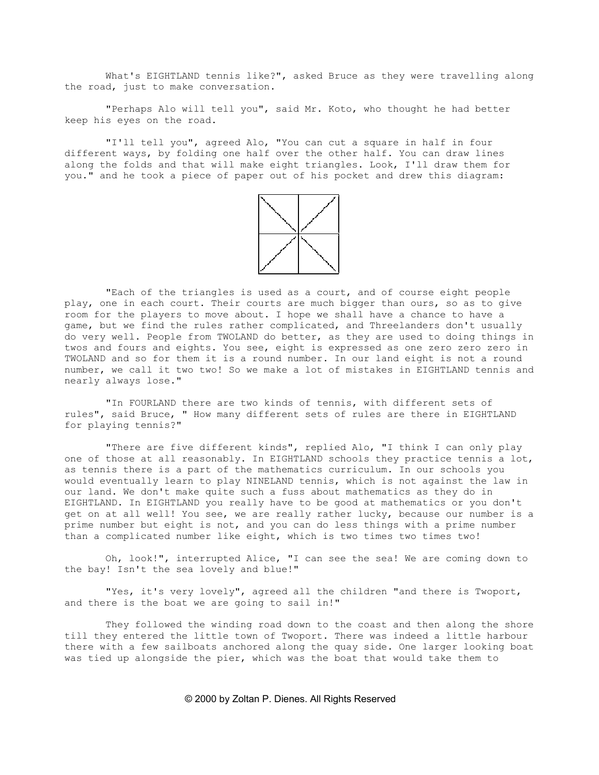What's EIGHTLAND tennis like?", asked Bruce as they were travelling along the road, just to make conversation.

 "Perhaps Alo will tell you", said Mr. Koto, who thought he had better keep his eyes on the road.

 "I'll tell you", agreed Alo, "You can cut a square in half in four different ways, by folding one half over the other half. You can draw lines along the folds and that will make eight triangles. Look, I'll draw them for you." and he took a piece of paper out of his pocket and drew this diagram:



 "Each of the triangles is used as a court, and of course eight people play, one in each court. Their courts are much bigger than ours, so as to give room for the players to move about. I hope we shall have a chance to have a game, but we find the rules rather complicated, and Threelanders don't usually do very well. People from TWOLAND do better, as they are used to doing things in twos and fours and eights. You see, eight is expressed as one zero zero zero in TWOLAND and so for them it is a round number. In our land eight is not a round number, we call it two two! So we make a lot of mistakes in EIGHTLAND tennis and nearly always lose."

 "In FOURLAND there are two kinds of tennis, with different sets of rules", said Bruce, " How many different sets of rules are there in EIGHTLAND for playing tennis?"

 "There are five different kinds", replied Alo, "I think I can only play one of those at all reasonably. In EIGHTLAND schools they practice tennis a lot, as tennis there is a part of the mathematics curriculum. In our schools you would eventually learn to play NINELAND tennis, which is not against the law in our land. We don't make quite such a fuss about mathematics as they do in EIGHTLAND. In EIGHTLAND you really have to be good at mathematics or you don't get on at all well! You see, we are really rather lucky, because our number is a prime number but eight is not, and you can do less things with a prime number than a complicated number like eight, which is two times two times two!

 Oh, look!", interrupted Alice, "I can see the sea! We are coming down to the bay! Isn't the sea lovely and blue!"

 "Yes, it's very lovely", agreed all the children "and there is Twoport, and there is the boat we are going to sail in!"

 They followed the winding road down to the coast and then along the shore till they entered the little town of Twoport. There was indeed a little harbour there with a few sailboats anchored along the quay side. One larger looking boat was tied up alongside the pier, which was the boat that would take them to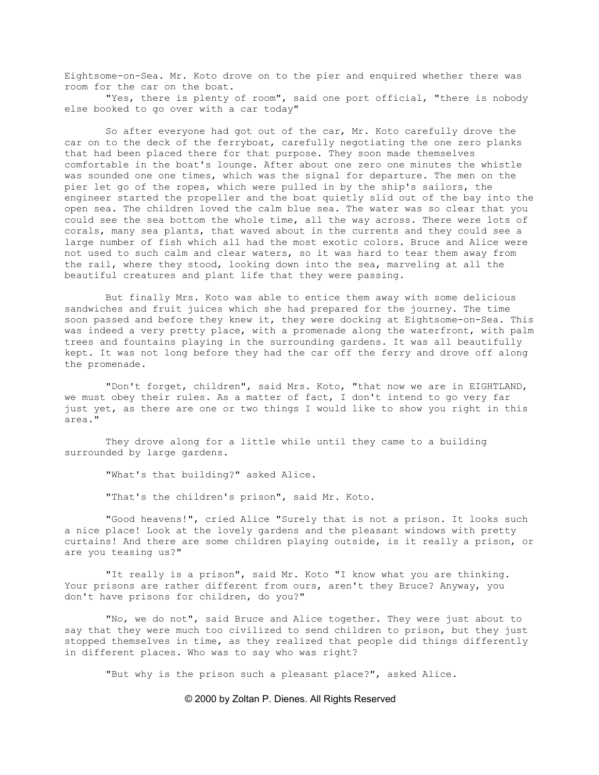Eightsome-on-Sea. Mr. Koto drove on to the pier and enquired whether there was room for the car on the boat.

 "Yes, there is plenty of room", said one port official, "there is nobody else booked to go over with a car today"

 So after everyone had got out of the car, Mr. Koto carefully drove the car on to the deck of the ferryboat, carefully negotiating the one zero planks that had been placed there for that purpose. They soon made themselves comfortable in the boat's lounge. After about one zero one minutes the whistle was sounded one one times, which was the signal for departure. The men on the pier let go of the ropes, which were pulled in by the ship's sailors, the engineer started the propeller and the boat quietly slid out of the bay into the open sea. The children loved the calm blue sea. The water was so clear that you could see the sea bottom the whole time, all the way across. There were lots of corals, many sea plants, that waved about in the currents and they could see a large number of fish which all had the most exotic colors. Bruce and Alice were not used to such calm and clear waters, so it was hard to tear them away from the rail, where they stood, looking down into the sea, marveling at all the beautiful creatures and plant life that they were passing.

 But finally Mrs. Koto was able to entice them away with some delicious sandwiches and fruit juices which she had prepared for the journey. The time soon passed and before they knew it, they were docking at Eightsome-on-Sea. This was indeed a very pretty place, with a promenade along the waterfront, with palm trees and fountains playing in the surrounding gardens. It was all beautifully kept. It was not long before they had the car off the ferry and drove off along the promenade.

 "Don't forget, children", said Mrs. Koto, "that now we are in EIGHTLAND, we must obey their rules. As a matter of fact, I don't intend to go very far just yet, as there are one or two things I would like to show you right in this area."

 They drove along for a little while until they came to a building surrounded by large gardens.

"What's that building?" asked Alice.

"That's the children's prison", said Mr. Koto.

 "Good heavens!", cried Alice "Surely that is not a prison. It looks such a nice place! Look at the lovely gardens and the pleasant windows with pretty curtains! And there are some children playing outside, is it really a prison, or are you teasing us?"

 "It really is a prison", said Mr. Koto "I know what you are thinking. Your prisons are rather different from ours, aren't they Bruce? Anyway, you don't have prisons for children, do you?"

 "No, we do not", said Bruce and Alice together. They were just about to say that they were much too civilized to send children to prison, but they just stopped themselves in time, as they realized that people did things differently in different places. Who was to say who was right?

"But why is the prison such a pleasant place?", asked Alice.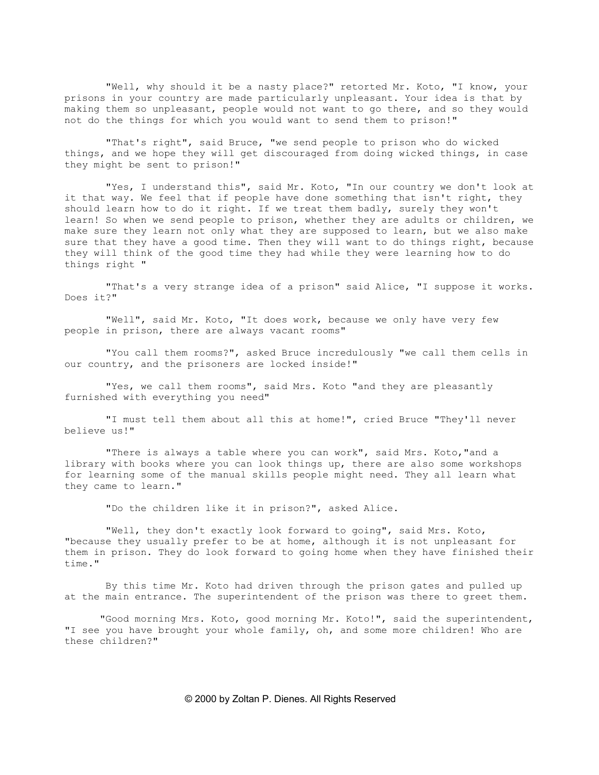"Well, why should it be a nasty place?" retorted Mr. Koto, "I know, your prisons in your country are made particularly unpleasant. Your idea is that by making them so unpleasant, people would not want to go there, and so they would not do the things for which you would want to send them to prison!"

 "That's right", said Bruce, "we send people to prison who do wicked things, and we hope they will get discouraged from doing wicked things, in case they might be sent to prison!"

 "Yes, I understand this", said Mr. Koto, "In our country we don't look at it that way. We feel that if people have done something that isn't right, they should learn how to do it right. If we treat them badly, surely they won't learn! So when we send people to prison, whether they are adults or children, we make sure they learn not only what they are supposed to learn, but we also make sure that they have a good time. Then they will want to do things right, because they will think of the good time they had while they were learning how to do things right "

 "That's a very strange idea of a prison" said Alice, "I suppose it works. Does it?"

 "Well", said Mr. Koto, "It does work, because we only have very few people in prison, there are always vacant rooms"

 "You call them rooms?", asked Bruce incredulously "we call them cells in our country, and the prisoners are locked inside!"

 "Yes, we call them rooms", said Mrs. Koto "and they are pleasantly furnished with everything you need"

 "I must tell them about all this at home!", cried Bruce "They'll never believe us!"

 "There is always a table where you can work", said Mrs. Koto,"and a library with books where you can look things up, there are also some workshops for learning some of the manual skills people might need. They all learn what they came to learn."

"Do the children like it in prison?", asked Alice.

 "Well, they don't exactly look forward to going", said Mrs. Koto, "because they usually prefer to be at home, although it is not unpleasant for them in prison. They do look forward to going home when they have finished their time."

 By this time Mr. Koto had driven through the prison gates and pulled up at the main entrance. The superintendent of the prison was there to greet them.

 "Good morning Mrs. Koto, good morning Mr. Koto!", said the superintendent, "I see you have brought your whole family, oh, and some more children! Who are these children?"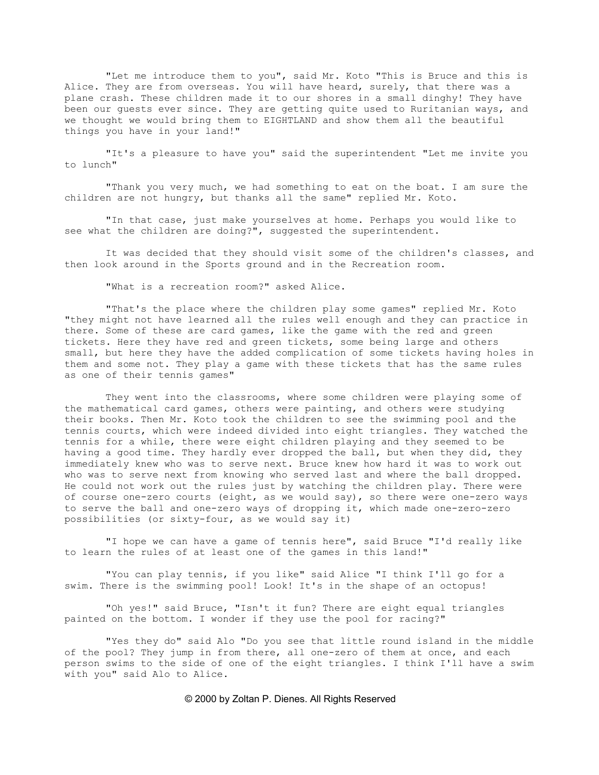"Let me introduce them to you", said Mr. Koto "This is Bruce and this is Alice. They are from overseas. You will have heard, surely, that there was a plane crash. These children made it to our shores in a small dinghy! They have been our guests ever since. They are getting quite used to Ruritanian ways, and we thought we would bring them to EIGHTLAND and show them all the beautiful things you have in your land!"

 "It's a pleasure to have you" said the superintendent "Let me invite you to lunch"

 "Thank you very much, we had something to eat on the boat. I am sure the children are not hungry, but thanks all the same" replied Mr. Koto.

 "In that case, just make yourselves at home. Perhaps you would like to see what the children are doing?", suggested the superintendent.

 It was decided that they should visit some of the children's classes, and then look around in the Sports ground and in the Recreation room.

"What is a recreation room?" asked Alice.

 "That's the place where the children play some games" replied Mr. Koto "they might not have learned all the rules well enough and they can practice in there. Some of these are card games, like the game with the red and green tickets. Here they have red and green tickets, some being large and others small, but here they have the added complication of some tickets having holes in them and some not. They play a game with these tickets that has the same rules as one of their tennis games"

 They went into the classrooms, where some children were playing some of the mathematical card games, others were painting, and others were studying their books. Then Mr. Koto took the children to see the swimming pool and the tennis courts, which were indeed divided into eight triangles. They watched the tennis for a while, there were eight children playing and they seemed to be having a good time. They hardly ever dropped the ball, but when they did, they immediately knew who was to serve next. Bruce knew how hard it was to work out who was to serve next from knowing who served last and where the ball dropped. He could not work out the rules just by watching the children play. There were of course one-zero courts (eight, as we would say), so there were one-zero ways to serve the ball and one-zero ways of dropping it, which made one-zero-zero possibilities (or sixty-four, as we would say it)

 "I hope we can have a game of tennis here", said Bruce "I'd really like to learn the rules of at least one of the games in this land!"

 "You can play tennis, if you like" said Alice "I think I'll go for a swim. There is the swimming pool! Look! It's in the shape of an octopus!

 "Oh yes!" said Bruce, "Isn't it fun? There are eight equal triangles painted on the bottom. I wonder if they use the pool for racing?"

 "Yes they do" said Alo "Do you see that little round island in the middle of the pool? They jump in from there, all one-zero of them at once, and each person swims to the side of one of the eight triangles. I think I'll have a swim with you" said Alo to Alice.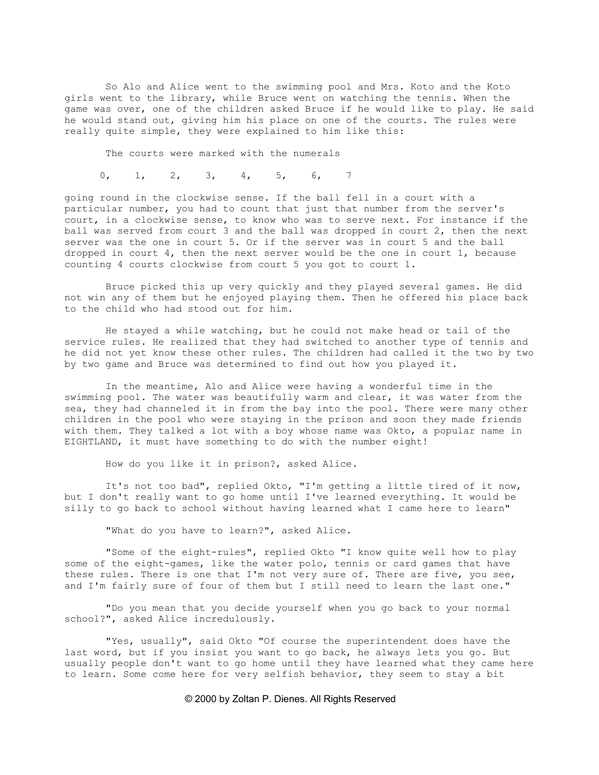So Alo and Alice went to the swimming pool and Mrs. Koto and the Koto girls went to the library, while Bruce went on watching the tennis. When the game was over, one of the children asked Bruce if he would like to play. He said he would stand out, giving him his place on one of the courts. The rules were really quite simple, they were explained to him like this:

The courts were marked with the numerals

0, 1, 2, 3, 4, 5, 6, 7

going round in the clockwise sense. If the ball fell in a court with a particular number, you had to count that just that number from the server's court, in a clockwise sense, to know who was to serve next. For instance if the ball was served from court 3 and the ball was dropped in court 2, then the next server was the one in court 5. Or if the server was in court 5 and the ball dropped in court 4, then the next server would be the one in court 1, because counting 4 courts clockwise from court 5 you got to court 1.

 Bruce picked this up very quickly and they played several games. He did not win any of them but he enjoyed playing them. Then he offered his place back to the child who had stood out for him.

 He stayed a while watching, but he could not make head or tail of the service rules. He realized that they had switched to another type of tennis and he did not yet know these other rules. The children had called it the two by two by two game and Bruce was determined to find out how you played it.

 In the meantime, Alo and Alice were having a wonderful time in the swimming pool. The water was beautifully warm and clear, it was water from the sea, they had channeled it in from the bay into the pool. There were many other children in the pool who were staying in the prison and soon they made friends with them. They talked a lot with a boy whose name was Okto, a popular name in EIGHTLAND, it must have something to do with the number eight!

How do you like it in prison?, asked Alice.

 It's not too bad", replied Okto, "I'm getting a little tired of it now, but I don't really want to go home until I've learned everything. It would be silly to go back to school without having learned what I came here to learn"

"What do you have to learn?", asked Alice.

 "Some of the eight-rules", replied Okto "I know quite well how to play some of the eight-games, like the water polo, tennis or card games that have these rules. There is one that I'm not very sure of. There are five, you see, and I'm fairly sure of four of them but I still need to learn the last one."

 "Do you mean that you decide yourself when you go back to your normal school?", asked Alice incredulously.

 "Yes, usually", said Okto "Of course the superintendent does have the last word, but if you insist you want to go back, he always lets you go. But usually people don't want to go home until they have learned what they came here to learn. Some come here for very selfish behavior, they seem to stay a bit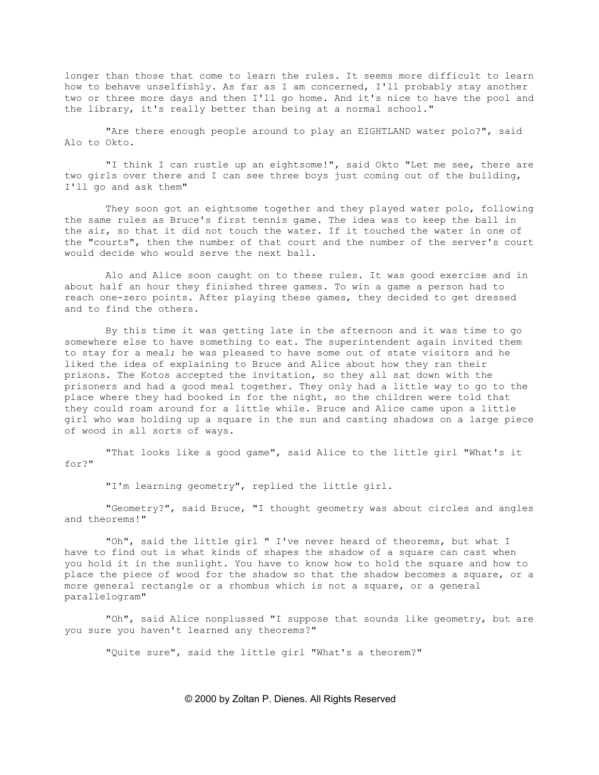longer than those that come to learn the rules. It seems more difficult to learn how to behave unselfishly. As far as I am concerned, I'll probably stay another two or three more days and then I'll go home. And it's nice to have the pool and the library, it's really better than being at a normal school."

 "Are there enough people around to play an EIGHTLAND water polo?", said Alo to Okto.

 "I think I can rustle up an eightsome!", said Okto "Let me see, there are two girls over there and I can see three boys just coming out of the building, I'll go and ask them"

 They soon got an eightsome together and they played water polo, following the same rules as Bruce's first tennis game. The idea was to keep the ball in the air, so that it did not touch the water. If it touched the water in one of the "courts", then the number of that court and the number of the server's court would decide who would serve the next ball.

 Alo and Alice soon caught on to these rules. It was good exercise and in about half an hour they finished three games. To win a game a person had to reach one-zero points. After playing these games, they decided to get dressed and to find the others.

 By this time it was getting late in the afternoon and it was time to go somewhere else to have something to eat. The superintendent again invited them to stay for a meal; he was pleased to have some out of state visitors and he liked the idea of explaining to Bruce and Alice about how they ran their prisons. The Kotos accepted the invitation, so they all sat down with the prisoners and had a good meal together. They only had a little way to go to the place where they had booked in for the night, so the children were told that they could roam around for a little while. Bruce and Alice came upon a little girl who was holding up a square in the sun and casting shadows on a large piece of wood in all sorts of ways.

 "That looks like a good game", said Alice to the little girl "What's it for?"

"I'm learning geometry", replied the little girl.

 "Geometry?", said Bruce, "I thought geometry was about circles and angles and theorems!"

 "Oh", said the little girl " I've never heard of theorems, but what I have to find out is what kinds of shapes the shadow of a square can cast when you hold it in the sunlight. You have to know how to hold the square and how to place the piece of wood for the shadow so that the shadow becomes a square, or a more general rectangle or a rhombus which is not a square, or a general parallelogram"

 "Oh", said Alice nonplussed "I suppose that sounds like geometry, but are you sure you haven't learned any theorems?"

"Quite sure", said the little girl "What's a theorem?"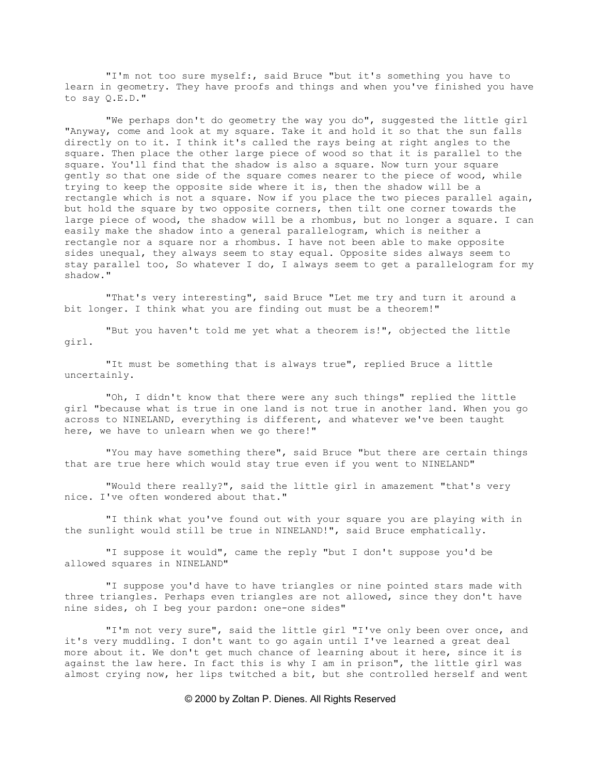"I'm not too sure myself:, said Bruce "but it's something you have to learn in geometry. They have proofs and things and when you've finished you have to say Q.E.D."

 "We perhaps don't do geometry the way you do", suggested the little girl "Anyway, come and look at my square. Take it and hold it so that the sun falls directly on to it. I think it's called the rays being at right angles to the square. Then place the other large piece of wood so that it is parallel to the square. You'll find that the shadow is also a square. Now turn your square gently so that one side of the square comes nearer to the piece of wood, while trying to keep the opposite side where it is, then the shadow will be a rectangle which is not a square. Now if you place the two pieces parallel again, but hold the square by two opposite corners, then tilt one corner towards the large piece of wood, the shadow will be a rhombus, but no longer a square. I can easily make the shadow into a general parallelogram, which is neither a rectangle nor a square nor a rhombus. I have not been able to make opposite sides unequal, they always seem to stay equal. Opposite sides always seem to stay parallel too, So whatever I do, I always seem to get a parallelogram for my shadow."

 "That's very interesting", said Bruce "Let me try and turn it around a bit longer. I think what you are finding out must be a theorem!"

 "But you haven't told me yet what a theorem is!", objected the little girl.

 "It must be something that is always true", replied Bruce a little uncertainly.

 "Oh, I didn't know that there were any such things" replied the little girl "because what is true in one land is not true in another land. When you go across to NINELAND, everything is different, and whatever we've been taught here, we have to unlearn when we go there!"

 "You may have something there", said Bruce "but there are certain things that are true here which would stay true even if you went to NINELAND"

 "Would there really?", said the little girl in amazement "that's very nice. I've often wondered about that."

 "I think what you've found out with your square you are playing with in the sunlight would still be true in NINELAND!", said Bruce emphatically.

 "I suppose it would", came the reply "but I don't suppose you'd be allowed squares in NINELAND"

 "I suppose you'd have to have triangles or nine pointed stars made with three triangles. Perhaps even triangles are not allowed, since they don't have nine sides, oh I beg your pardon: one-one sides"

 "I'm not very sure", said the little girl "I've only been over once, and it's very muddling. I don't want to go again until I've learned a great deal more about it. We don't get much chance of learning about it here, since it is against the law here. In fact this is why I am in prison", the little girl was almost crying now, her lips twitched a bit, but she controlled herself and went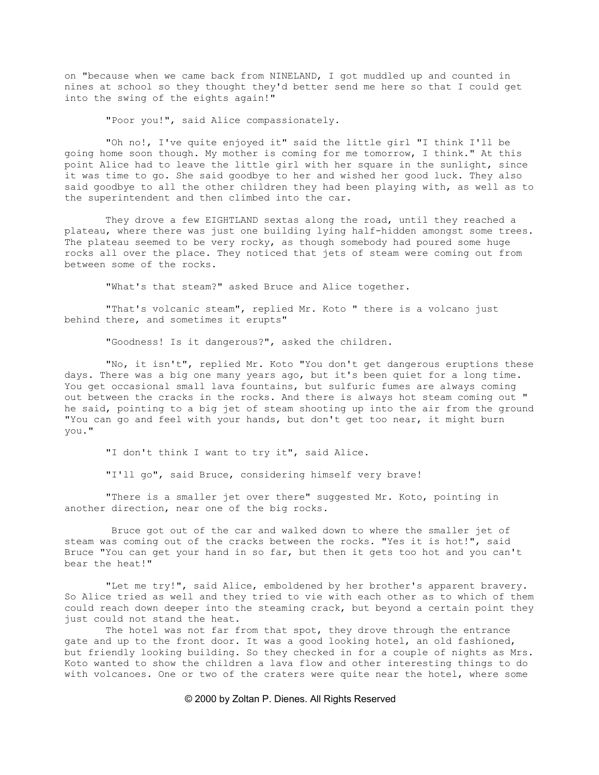on "because when we came back from NINELAND, I got muddled up and counted in nines at school so they thought they'd better send me here so that I could get into the swing of the eights again!"

"Poor you!", said Alice compassionately.

 "Oh no!, I've quite enjoyed it" said the little girl "I think I'll be going home soon though. My mother is coming for me tomorrow, I think." At this point Alice had to leave the little girl with her square in the sunlight, since it was time to go. She said goodbye to her and wished her good luck. They also said goodbye to all the other children they had been playing with, as well as to the superintendent and then climbed into the car.

 They drove a few EIGHTLAND sextas along the road, until they reached a plateau, where there was just one building lying half-hidden amongst some trees. The plateau seemed to be very rocky, as though somebody had poured some huge rocks all over the place. They noticed that jets of steam were coming out from between some of the rocks.

"What's that steam?" asked Bruce and Alice together.

 "That's volcanic steam", replied Mr. Koto " there is a volcano just behind there, and sometimes it erupts"

"Goodness! Is it dangerous?", asked the children.

 "No, it isn't", replied Mr. Koto "You don't get dangerous eruptions these days. There was a big one many years ago, but it's been quiet for a long time. You get occasional small lava fountains, but sulfuric fumes are always coming out between the cracks in the rocks. And there is always hot steam coming out " he said, pointing to a big jet of steam shooting up into the air from the ground "You can go and feel with your hands, but don't get too near, it might burn you."

"I don't think I want to try it", said Alice.

"I'll go", said Bruce, considering himself very brave!

 "There is a smaller jet over there" suggested Mr. Koto, pointing in another direction, near one of the big rocks.

 Bruce got out of the car and walked down to where the smaller jet of steam was coming out of the cracks between the rocks. "Yes it is hot!", said Bruce "You can get your hand in so far, but then it gets too hot and you can't bear the heat!"

 "Let me try!", said Alice, emboldened by her brother's apparent bravery. So Alice tried as well and they tried to vie with each other as to which of them could reach down deeper into the steaming crack, but beyond a certain point they just could not stand the heat.

 The hotel was not far from that spot, they drove through the entrance gate and up to the front door. It was a good looking hotel, an old fashioned, but friendly looking building. So they checked in for a couple of nights as Mrs. Koto wanted to show the children a lava flow and other interesting things to do with volcanoes. One or two of the craters were quite near the hotel, where some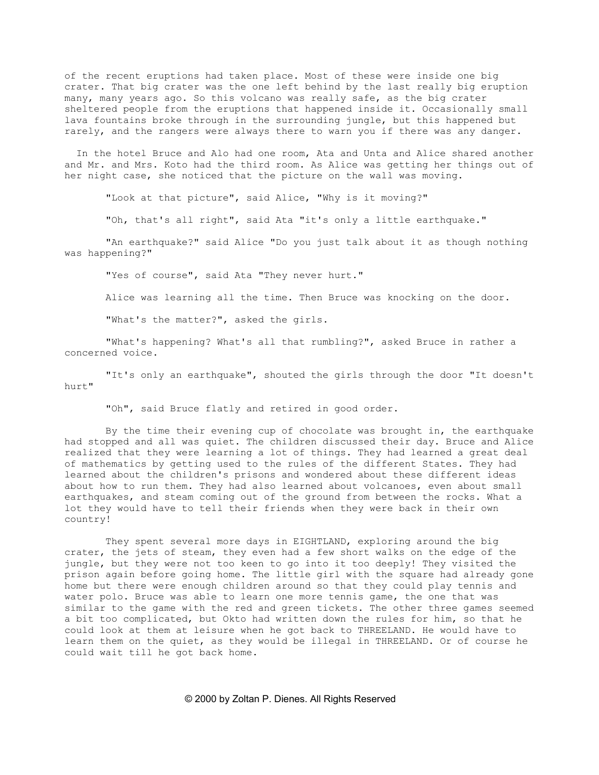of the recent eruptions had taken place. Most of these were inside one big crater. That big crater was the one left behind by the last really big eruption many, many years ago. So this volcano was really safe, as the big crater sheltered people from the eruptions that happened inside it. Occasionally small lava fountains broke through in the surrounding jungle, but this happened but rarely, and the rangers were always there to warn you if there was any danger.

 In the hotel Bruce and Alo had one room, Ata and Unta and Alice shared another and Mr. and Mrs. Koto had the third room. As Alice was getting her things out of her night case, she noticed that the picture on the wall was moving.

"Look at that picture", said Alice, "Why is it moving?"

"Oh, that's all right", said Ata "it's only a little earthquake."

 "An earthquake?" said Alice "Do you just talk about it as though nothing was happening?"

"Yes of course", said Ata "They never hurt."

Alice was learning all the time. Then Bruce was knocking on the door.

"What's the matter?", asked the girls.

 "What's happening? What's all that rumbling?", asked Bruce in rather a concerned voice.

 "It's only an earthquake", shouted the girls through the door "It doesn't hurt"

"Oh", said Bruce flatly and retired in good order.

 By the time their evening cup of chocolate was brought in, the earthquake had stopped and all was quiet. The children discussed their day. Bruce and Alice realized that they were learning a lot of things. They had learned a great deal of mathematics by getting used to the rules of the different States. They had learned about the children's prisons and wondered about these different ideas about how to run them. They had also learned about volcanoes, even about small earthquakes, and steam coming out of the ground from between the rocks. What a lot they would have to tell their friends when they were back in their own country!

 They spent several more days in EIGHTLAND, exploring around the big crater, the jets of steam, they even had a few short walks on the edge of the jungle, but they were not too keen to go into it too deeply! They visited the prison again before going home. The little girl with the square had already gone home but there were enough children around so that they could play tennis and water polo. Bruce was able to learn one more tennis game, the one that was similar to the game with the red and green tickets. The other three games seemed a bit too complicated, but Okto had written down the rules for him, so that he could look at them at leisure when he got back to THREELAND. He would have to learn them on the quiet, as they would be illegal in THREELAND. Or of course he could wait till he got back home.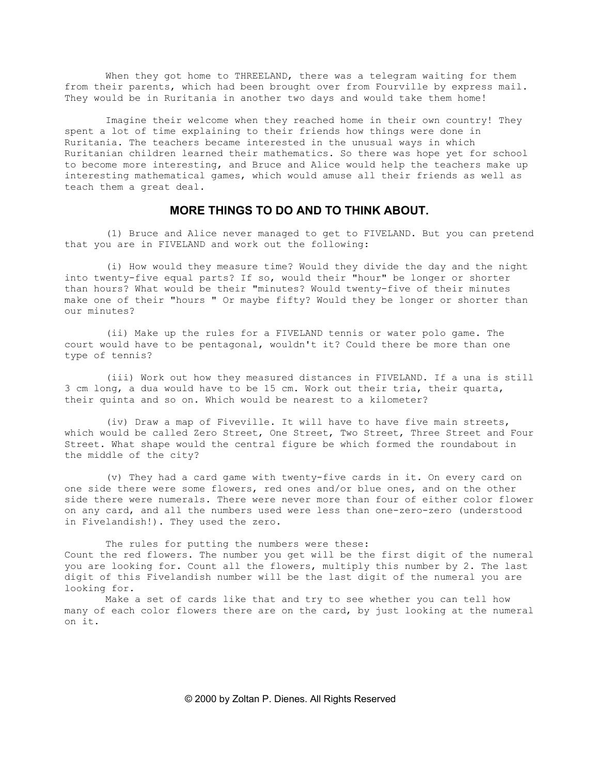When they got home to THREELAND, there was a telegram waiting for them from their parents, which had been brought over from Fourville by express mail. They would be in Ruritania in another two days and would take them home!

 Imagine their welcome when they reached home in their own country! They spent a lot of time explaining to their friends how things were done in Ruritania. The teachers became interested in the unusual ways in which Ruritanian children learned their mathematics. So there was hope yet for school to become more interesting, and Bruce and Alice would help the teachers make up interesting mathematical games, which would amuse all their friends as well as teach them a great deal.

## **MORE THINGS TO DO AND TO THINK ABOUT.**

 (1) Bruce and Alice never managed to get to FIVELAND. But you can pretend that you are in FIVELAND and work out the following:

 (i) How would they measure time? Would they divide the day and the night into twenty-five equal parts? If so, would their "hour" be longer or shorter than hours? What would be their "minutes? Would twenty-five of their minutes make one of their "hours " Or maybe fifty? Would they be longer or shorter than our minutes?

 (ii) Make up the rules for a FIVELAND tennis or water polo game. The court would have to be pentagonal, wouldn't it? Could there be more than one type of tennis?

 (iii) Work out how they measured distances in FIVELAND. If a una is still 3 cm long, a dua would have to be 15 cm. Work out their tria, their quarta, their quinta and so on. Which would be nearest to a kilometer?

 (iv) Draw a map of Fiveville. It will have to have five main streets, which would be called Zero Street, One Street, Two Street, Three Street and Four Street. What shape would the central figure be which formed the roundabout in the middle of the city?

 (v) They had a card game with twenty-five cards in it. On every card on one side there were some flowers, red ones and/or blue ones, and on the other side there were numerals. There were never more than four of either color flower on any card, and all the numbers used were less than one-zero-zero (understood in Fivelandish!). They used the zero.

The rules for putting the numbers were these: Count the red flowers. The number you get will be the first digit of the numeral you are looking for. Count all the flowers, multiply this number by 2. The last digit of this Fivelandish number will be the last digit of the numeral you are looking for.

 Make a set of cards like that and try to see whether you can tell how many of each color flowers there are on the card, by just looking at the numeral on it.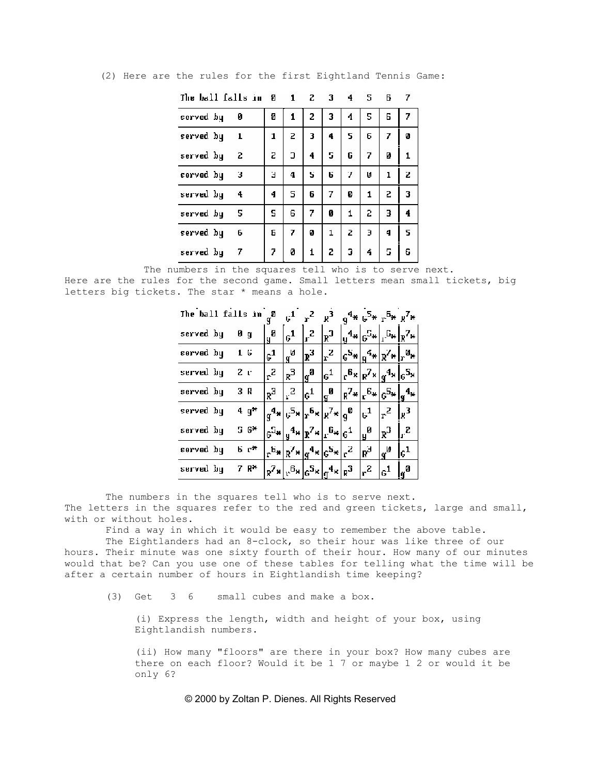(2) Here are the rules for the first Eightland Tennis Game:

| The ball falls in 0 |    | -1 | 2  | 3  | 4  | s | Б | 7 |
|---------------------|----|----|----|----|----|---|---|---|
| Ø<br>cerved by      | ₫  | ı  | 2  | 3  | 4  | 5 | В | 7 |
| served by<br>1      | 1  | z  | 3. | 4  | 5. | 6 | 7 | Ø |
| served by<br>- 2    | S. | C. | 4  | 5. | G  | 7 | D | 1 |
| -3<br>served by     | Э  | 4  | 5  | 6  | У  | Ñ | ı | 2 |
| served by<br>-4     | 4. | 5  | 6  | 7  | 0  | 1 | 5 | 3 |
| - 5<br>served by    | S  | 6  | 7  | Ø  | 1  | 2 | з | 4 |
| served by<br>6      | 5  | 7  | 0  | 1  | z  | Э | 4 | 5 |
| served by<br>7      | 7. | Ø  | 1  | 2  | э  | 4 | 5 | G |

The numbers in the squares tell who is to serve next.

Here are the rules for the second game. Small letters mean small tickets, big letters big tickets. The star \* means a hole.

| The ball falls in $g^2$ |    |                |             |                                              | $\mathfrak{c}^1$             |                                                  |                           | $g^{4*} s^{5*}$                        |                             |                                          | $v^7*$                          |
|-------------------------|----|----------------|-------------|----------------------------------------------|------------------------------|--------------------------------------------------|---------------------------|----------------------------------------|-----------------------------|------------------------------------------|---------------------------------|
| served by               |    | Ø              | -9          | $\mathbf{g}_\mathrm{D}$                      | $\mathfrak{g}^1$             | 2                                                | $\mathbf{r}^{\mathbf{0}}$ | $4_{\rm H}$<br>y                       | $16^{5*}$                   | Б.,                                      | $I_R$ <sup>7</sup> <sub>H</sub> |
| served by               |    |                | 16          | $\boldsymbol{\mathfrak{s}}^{\boldsymbol{1}}$ | $\mathbf{v}_{\mathbf{p}_1}$  | $\mathbf{R}^3$                                   | $\mathbf{r}^{\mathbf{Z}}$ | $\mathbf{G}^{\mathbf{S}_{\mathbf{R}}}$ |                             |                                          |                                 |
| served by               |    | 2 <sub>r</sub> |             | $S_{\gamma}$                                 | $R^3$                        | $\mathfrak{g}^0$                                 | $\mathfrak{g}^1$          | $r^6x$                                 | $R^7x$                      |                                          | $I_6S_8$                        |
| served by               |    | 3 R            |             | $R^3$                                        | 2                            | $\mathfrak{g}^1$                                 | Ø                         | $R^7*$                                 | $6^{\star}$                 | $\mathfrak{g}^{\mathbf{5}_{\mathbf{H}}}$ |                                 |
| served by               |    | 4              | $g^{\star}$ |                                              | <sub>្រ</sub> 5 <sub>អ</sub> | $\mathbf{F}^{\mathbf{6}}$ #                      | $R^7*$                    | ≀lg <sup>0</sup>                       | $\mathfrak{g}^{\mathbf{1}}$ | z                                        | $1R^3$                          |
| served by               |    |                | 5 G*        | $6^{5*}$                                     | $4+$                         | $\mathbf{R}^7$ is a                              | $\lfloor 0_{\ast}$        | $\mathfrak{g}^1$                       | Ø<br>Ч                      | $R^3$                                    | $\mathbf{S}_{\mathbf{T}}$       |
| served by               |    |                | 6 բ#        | $r^{b}$                                      | ٠.<br>R                      | $\mathbf{4}_{\mathbf{H}}$                        | $ e^{S_{tt}} $            | $r^2$                                  | $\mathbf{R}^{\mathbb{H}}$   | N<br>q                                   | $\mathfrak{c}^1$                |
| served                  | bц |                | R#          | $R^7$ и $ r^6$ и                             |                              | $ \mathfrak{g}^{\bf S_{\bf K}} _\mathfrak{q}$ 4к |                           | $\mathbf{R}^3$                         | $r^2$                       |                                          | o,                              |

The numbers in the squares tell who is to serve next.

The letters in the squares refer to the red and green tickets, large and small, with or without holes.

Find a way in which it would be easy to remember the above table.

 The Eightlanders had an 8-clock, so their hour was like three of our hours. Their minute was one sixty fourth of their hour. How many of our minutes would that be? Can you use one of these tables for telling what the time will be after a certain number of hours in Eightlandish time keeping?

(3) Get 3 6 small cubes and make a box.

(i) Express the length, width and height of your box, using Eightlandish numbers.

(ii) How many "floors" are there in your box? How many cubes are there on each floor? Would it be 1 7 or maybe 1 2 or would it be only 6?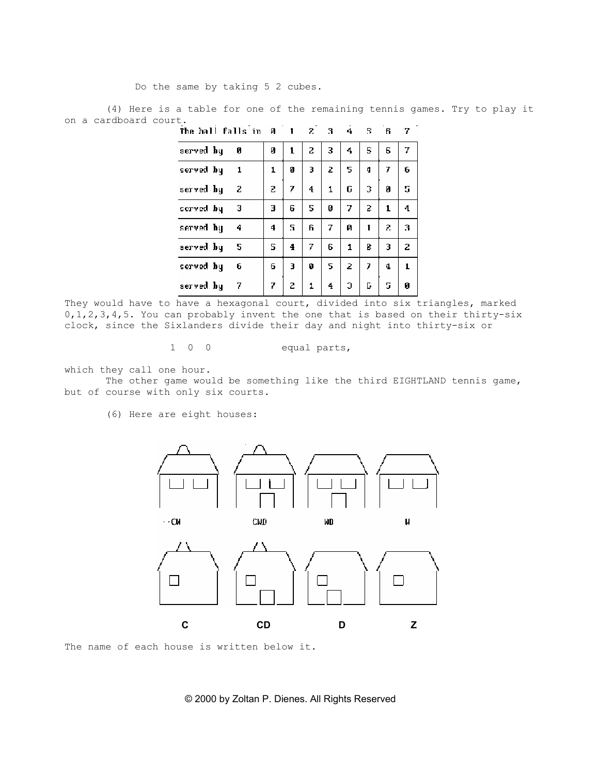Do the same by taking 5 2 cubes.

 (4) Here is a table for one of the remaining tennis games. Try to play it on a cardboard court.

| The hall falls in | Й | $\blacksquare$ | $2^{\degree}$ | 3              | 4  | 5  | 6  | 7            |
|-------------------|---|----------------|---------------|----------------|----|----|----|--------------|
| served by<br>Ø    | ø | 1              | 2             | 3              | 4  | 5  | 6  | 7            |
| served by<br>1    | 1 | 0              | 3             | $\overline{z}$ | 5. | 4  | 7  | 6            |
| served by<br>- 2  | 2 | 7              | 4             | 1              | C  | з  | ø  | 5            |
| 3<br>served by    | з | 6              | 5             | Ø              | 7  | S  | 1  | 4            |
| served by<br>4    | 4 | 5              | f.            | 7              | Й  | 1  | z. | 3            |
| served by<br>5    | 2 | 4              | 7             | 6              | 1  | Ŋ  | з  | 2            |
| served by<br>6    | 6 | 3              | 0             | 5.             | 2  | 7  | 4  | $\mathbf{1}$ |
| served by<br>7    | 7 | 2              | 1             | 4              | G  | D. | 5. | 0            |

They would have to have a hexagonal court, divided into six triangles, marked 0,1,2,3,4,5. You can probably invent the one that is based on their thirty-six clock, since the Sixlanders divide their day and night into thirty-six or

1 0 0 equal parts,

which they call one hour.

 The other game would be something like the third EIGHTLAND tennis game, but of course with only six courts.

(6) Here are eight houses:



The name of each house is written below it.